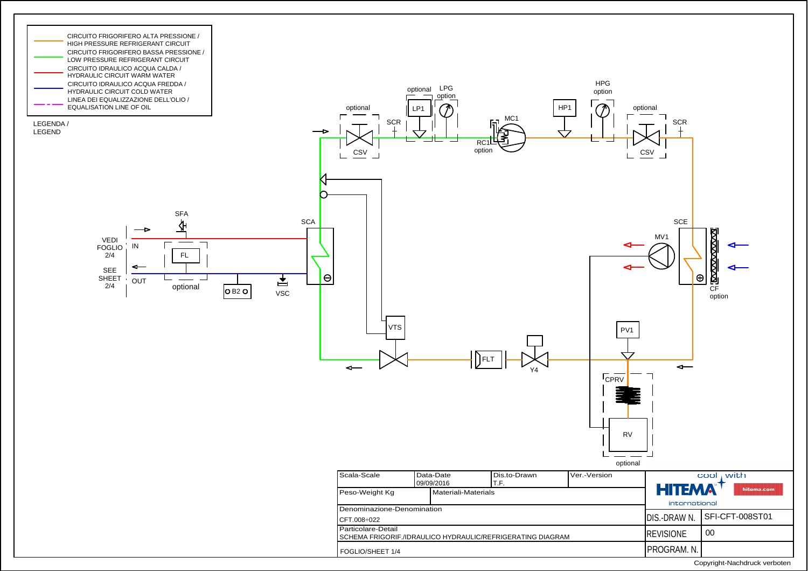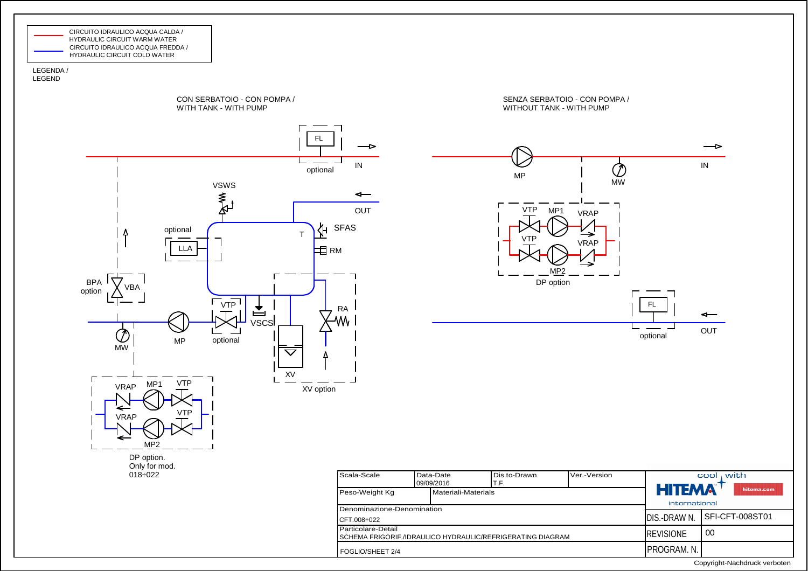

## LEGENDA /LEGEND



Copyright-Nachdruck verboten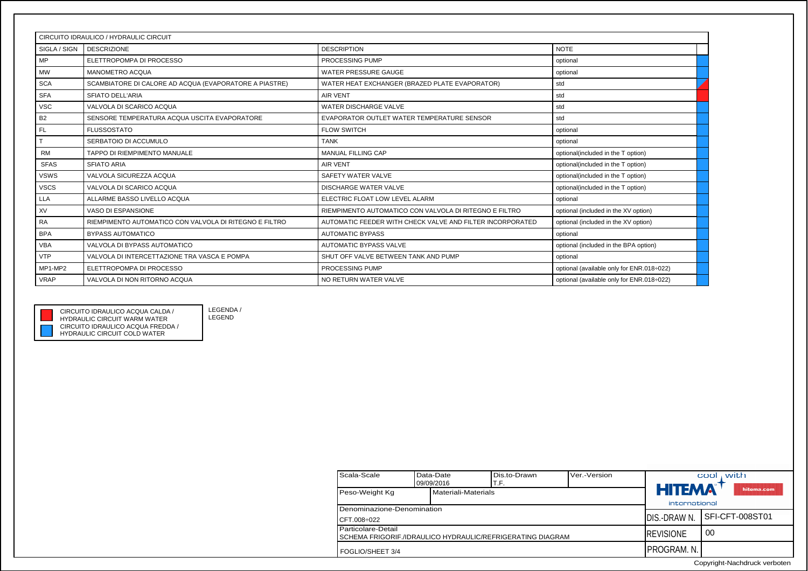| CIRCUITO IDRAULICO / HYDRAULIC CIRCUIT |                                                        |                                                           |                                           |  |  |  |
|----------------------------------------|--------------------------------------------------------|-----------------------------------------------------------|-------------------------------------------|--|--|--|
| SIGLA / SIGN                           | <b>DESCRIZIONE</b>                                     | <b>DESCRIPTION</b>                                        | <b>NOTE</b>                               |  |  |  |
| <b>MP</b>                              | ELETTROPOMPA DI PROCESSO                               | PROCESSING PUMP                                           | optional                                  |  |  |  |
| <b>MW</b>                              | MANOMETRO ACQUA                                        | <b>WATER PRESSURE GAUGE</b>                               | optional                                  |  |  |  |
| <b>SCA</b>                             | SCAMBIATORE DI CALORE AD ACQUA (EVAPORATORE A PIASTRE) | WATER HEAT EXCHANGER (BRAZED PLATE EVAPORATOR)            | std                                       |  |  |  |
| <b>SFA</b>                             | <b>SFIATO DELL'ARIA</b>                                | <b>AIR VENT</b>                                           | std                                       |  |  |  |
| <b>VSC</b>                             | VALVOLA DI SCARICO ACQUA                               | WATER DISCHARGE VALVE                                     | std                                       |  |  |  |
| <b>B2</b>                              | SENSORE TEMPERATURA ACQUA USCITA EVAPORATORE           | EVAPORATOR OUTLET WATER TEMPERATURE SENSOR                | std                                       |  |  |  |
| <b>FL</b>                              | <b>FLUSSOSTATO</b>                                     | <b>FLOW SWITCH</b>                                        | optional                                  |  |  |  |
|                                        | SERBATOIO DI ACCUMULO                                  | <b>TANK</b>                                               | optional                                  |  |  |  |
| <b>RM</b>                              | TAPPO DI RIEMPIMENTO MANUALE                           | <b>MANUAL FILLING CAP</b>                                 | optional(included in the T option)        |  |  |  |
| <b>SFAS</b>                            | <b>SFIATO ARIA</b>                                     | <b>AIR VENT</b>                                           | optional(included in the T option)        |  |  |  |
| <b>VSWS</b>                            | VALVOLA SICUREZZA ACQUA                                | SAFETY WATER VALVE                                        | optional(included in the T option)        |  |  |  |
| <b>VSCS</b>                            | VALVOLA DI SCARICO ACQUA                               | <b>DISCHARGE WATER VALVE</b>                              | optional(included in the T option)        |  |  |  |
| <b>LLA</b>                             | ALLARME BASSO LIVELLO ACQUA                            | ELECTRIC FLOAT LOW LEVEL ALARM                            | optional                                  |  |  |  |
| XV                                     | VASO DI ESPANSIONE                                     | RIEMPIMENTO AUTOMATICO CON VALVOLA DI RITEGNO E FILTRO    | optional (included in the XV option)      |  |  |  |
| <b>RA</b>                              | RIEMPIMENTO AUTOMATICO CON VALVOLA DI RITEGNO E FILTRO | AUTOMATIC FEEDER WITH CHECK VALVE AND FILTER INCORPORATED | optional (included in the XV option)      |  |  |  |
| <b>BPA</b>                             | <b>BYPASS AUTOMATICO</b>                               | <b>AUTOMATIC BYPASS</b>                                   | optional                                  |  |  |  |
| <b>VBA</b>                             | VALVOLA DI BYPASS AUTOMATICO                           | <b>AUTOMATIC BYPASS VALVE</b>                             | optional (included in the BPA option)     |  |  |  |
| <b>VTP</b>                             | VALVOLA DI INTERCETTAZIONE TRA VASCA E POMPA           | SHUT OFF VALVE BETWEEN TANK AND PUMP                      | optional                                  |  |  |  |
| MP1-MP2                                | ELETTROPOMPA DI PROCESSO                               | PROCESSING PUMP                                           | optional (available only for ENR.018:022) |  |  |  |
| <b>VRAP</b>                            | VALVOLA DI NON RITORNO ACQUA                           | NO RETURN WATER VALVE                                     | optional (available only for ENR.018÷022) |  |  |  |



LEGENDA /LEGENDCIRCUITO IDRAULICO ACQUA CALDA /

> Scala-ScaleData-Date Dis.to-Drawn Ver.-Version<br>09/09/2016 T.F.  $\text{cool}_1$  with 09/09/2016Peso-Weight Kg Materiali-Materials T.F. **HITEMA** hitema.com international Denominazione-Denomination DIS.-DRAW N. SFI-CFT-008ST01CFT.008÷022Particolare-Detail00REVISIONE SCHEMA FRIGORIF./IDRAULICO HYDRAULIC/REFRIGERATING DIAGRAMPROGRAM. N. FOGLIO/SHEET 3/4

> > Copyright-Nachdruck verboten

CIRCUITO IDRAULICO ACQUA FREDDA / HYDRAULIC CIRCUIT COLD WATERHYDRAULIC CIRCUIT WARM WATER